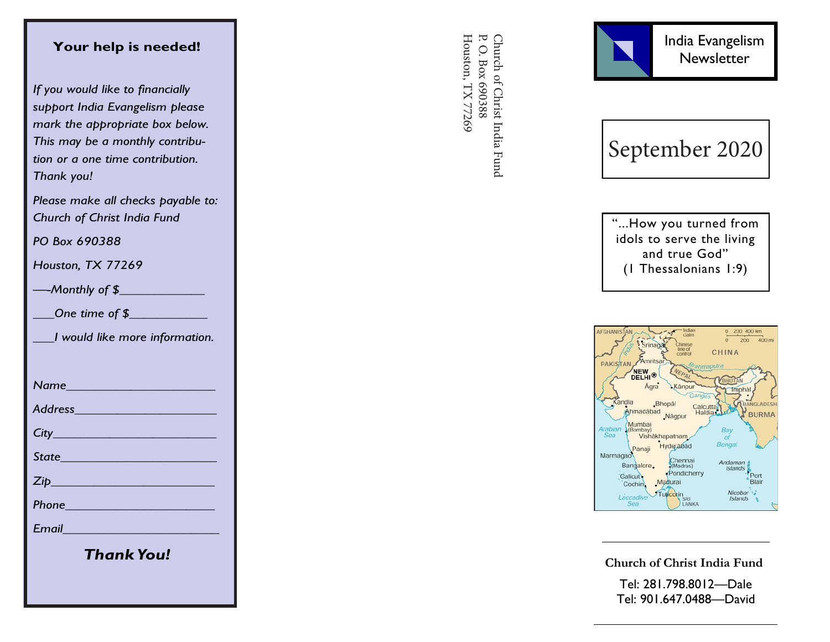## **Your help is needed!**

*If you would like to financially support India Evangelism please mark the appropriate box below. This may be a monthly contribution or a one time contribution. Thank you!*

*Please make all checks payable to: Church of Christ India Fund*

*PO Box 690388*

*Houston, TX 77269*

*—-Monthly of \$\_\_\_\_\_\_\_\_\_\_\_\_*

*\_\_\_One time of \$\_\_\_\_\_\_\_\_\_\_\_*

*\_\_\_I would like more information.*

*Name\_\_\_\_\_\_\_\_\_\_\_\_\_\_\_\_\_\_\_\_\_*

*Address\_\_\_\_\_\_\_\_\_\_\_\_\_\_\_\_\_\_\_\_*

*City\_\_\_\_\_\_\_\_\_\_\_\_\_\_\_\_\_\_\_\_\_\_\_*

*State\_\_\_\_\_\_\_\_\_\_\_\_\_\_\_\_\_\_\_\_\_\_*

*Zip\_\_\_\_\_\_\_\_\_\_\_\_\_\_\_\_\_\_\_\_\_\_\_*

*Phone\_\_\_\_\_\_\_\_\_\_\_\_\_\_\_\_\_\_\_\_\_*

*Email\_\_\_\_\_\_\_\_\_\_\_\_\_\_\_\_\_\_\_\_\_\_*

*Thank You!*

Church of Christ India Fund<br>P. O. Box 690388 Houston, TX 77269 Houston, TX 77269 P. O. Box 690388 Church of Christ India Fund



September 2020

"...How you turned from idols to serve the living and true God" (1 Thessalonians 1:9)



**Church of Christ India Fund**

Tel: 281.798.8012 —Dale Tel: 901.647.0488 —David